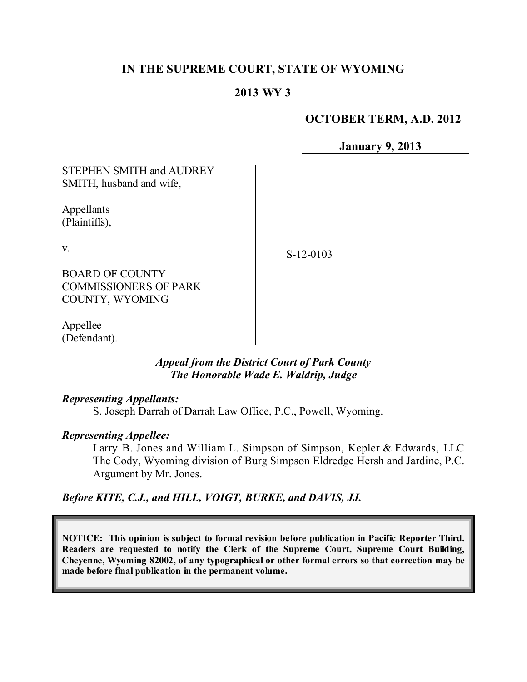# **IN THE SUPREME COURT, STATE OF WYOMING**

# **2013 WY 3**

#### **OCTOBER TERM, A.D. 2012**

**January 9, 2013**

STEPHEN SMITH and AUDREY SMITH, husband and wife,

Appellants (Plaintiffs),

v.

S-12-0103

BOARD OF COUNTY COMMISSIONERS OF PARK COUNTY, WYOMING

Appellee (Defendant).

#### *Appeal from the District Court of Park County The Honorable Wade E. Waldrip, Judge*

#### *Representing Appellants:*

S. Joseph Darrah of Darrah Law Office, P.C., Powell, Wyoming.

#### *Representing Appellee:*

Larry B. Jones and William L. Simpson of Simpson, Kepler & Edwards, LLC The Cody, Wyoming division of Burg Simpson Eldredge Hersh and Jardine, P.C. Argument by Mr. Jones.

#### *Before KITE, C.J., and HILL, VOIGT, BURKE, and DAVIS, JJ.*

**NOTICE: This opinion is subject to formal revision before publication in Pacific Reporter Third. Readers are requested to notify the Clerk of the Supreme Court, Supreme Court Building, Cheyenne, Wyoming 82002, of any typographical or other formal errors so that correction may be made before final publication in the permanent volume.**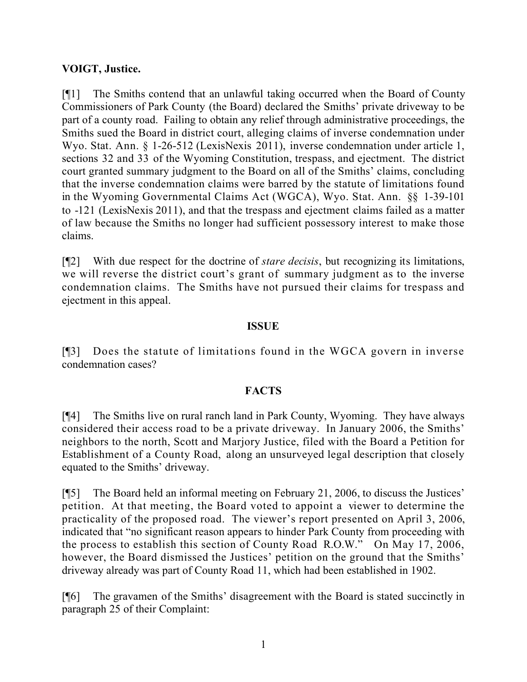## **VOIGT, Justice.**

[¶1] The Smiths contend that an unlawful taking occurred when the Board of County Commissioners of Park County (the Board) declared the Smiths' private driveway to be part of a county road. Failing to obtain any relief through administrative proceedings, the Smiths sued the Board in district court, alleging claims of inverse condemnation under Wyo. Stat. Ann. § 1-26-512 (LexisNexis 2011), inverse condemnation under article 1, sections 32 and 33 of the Wyoming Constitution, trespass, and ejectment. The district court granted summary judgment to the Board on all of the Smiths' claims, concluding that the inverse condemnation claims were barred by the statute of limitations found in the Wyoming Governmental Claims Act (WGCA), Wyo. Stat. Ann. §§ 1-39-101 to -121 (LexisNexis 2011), and that the trespass and ejectment claims failed as a matter of law because the Smiths no longer had sufficient possessory interest to make those claims.

[¶2] With due respect for the doctrine of *stare decisis*, but recognizing its limitations, we will reverse the district court's grant of summary judgment as to the inverse condemnation claims. The Smiths have not pursued their claims for trespass and ejectment in this appeal.

## **ISSUE**

[¶3] Does the statute of limitations found in the WGCA govern in inverse condemnation cases?

## **FACTS**

[¶4] The Smiths live on rural ranch land in Park County, Wyoming. They have always considered their access road to be a private driveway. In January 2006, the Smiths' neighbors to the north, Scott and Marjory Justice, filed with the Board a Petition for Establishment of a County Road, along an unsurveyed legal description that closely equated to the Smiths' driveway.

[¶5] The Board held an informal meeting on February 21, 2006, to discuss the Justices' petition. At that meeting, the Board voted to appoint a viewer to determine the practicality of the proposed road. The viewer's report presented on April 3, 2006, indicated that "no significant reason appears to hinder Park County from proceeding with the process to establish this section of County Road R.O.W." On May 17, 2006, however, the Board dismissed the Justices' petition on the ground that the Smiths' driveway already was part of County Road 11, which had been established in 1902.

[¶6] The gravamen of the Smiths' disagreement with the Board is stated succinctly in paragraph 25 of their Complaint: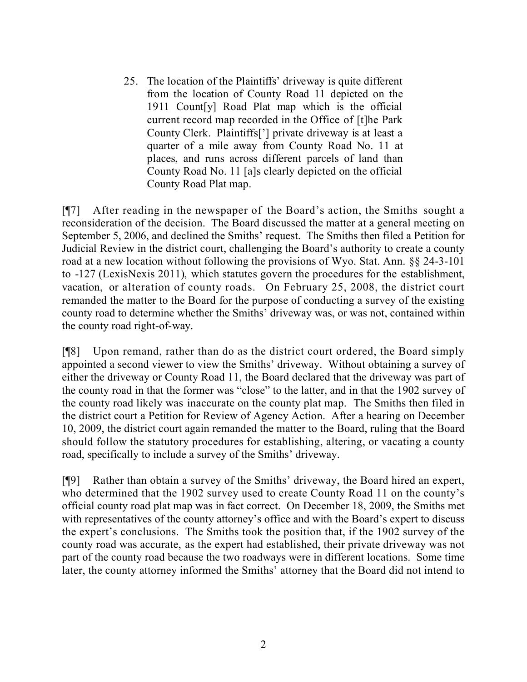25. The location of the Plaintiffs' driveway is quite different from the location of County Road 11 depicted on the 1911 Count[y] Road Plat map which is the official current record map recorded in the Office of [t]he Park County Clerk. Plaintiffs['] private driveway is at least a quarter of a mile away from County Road No. 11 at places, and runs across different parcels of land than County Road No. 11 [a]s clearly depicted on the official County Road Plat map.

[¶7] After reading in the newspaper of the Board's action, the Smiths sought a reconsideration of the decision. The Board discussed the matter at a general meeting on September 5, 2006, and declined the Smiths' request. The Smiths then filed a Petition for Judicial Review in the district court, challenging the Board's authority to create a county road at a new location without following the provisions of Wyo. Stat. Ann. §§ 24-3-101 to -127 (LexisNexis 2011), which statutes govern the procedures for the establishment, vacation, or alteration of county roads. On February 25, 2008, the district court remanded the matter to the Board for the purpose of conducting a survey of the existing county road to determine whether the Smiths' driveway was, or was not, contained within the county road right-of-way.

[¶8] Upon remand, rather than do as the district court ordered, the Board simply appointed a second viewer to view the Smiths' driveway. Without obtaining a survey of either the driveway or County Road 11, the Board declared that the driveway was part of the county road in that the former was "close" to the latter, and in that the 1902 survey of the county road likely was inaccurate on the county plat map. The Smiths then filed in the district court a Petition for Review of Agency Action. After a hearing on December 10, 2009, the district court again remanded the matter to the Board, ruling that the Board should follow the statutory procedures for establishing, altering, or vacating a county road, specifically to include a survey of the Smiths' driveway.

[¶9] Rather than obtain a survey of the Smiths' driveway, the Board hired an expert, who determined that the 1902 survey used to create County Road 11 on the county's official county road plat map was in fact correct. On December 18, 2009, the Smiths met with representatives of the county attorney's office and with the Board's expert to discuss the expert's conclusions. The Smiths took the position that, if the 1902 survey of the county road was accurate, as the expert had established, their private driveway was not part of the county road because the two roadways were in different locations. Some time later, the county attorney informed the Smiths' attorney that the Board did not intend to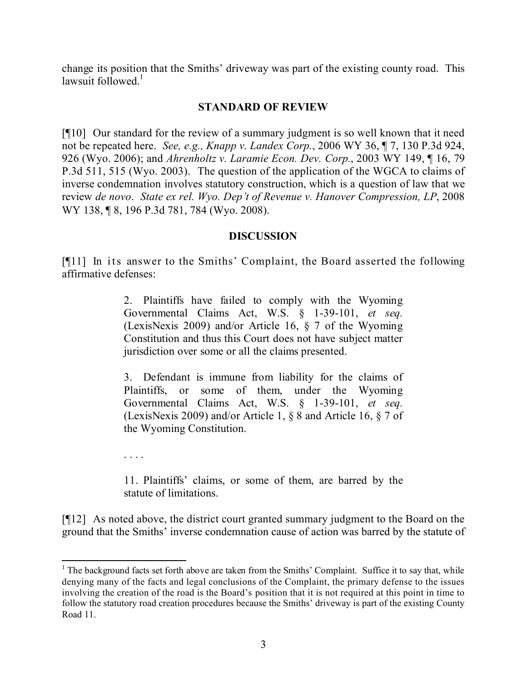change its position that the Smiths' driveway was part of the existing county road. This lawsuit followed $<sup>1</sup>$ </sup>

## **STANDARD OF REVIEW**

[¶10] Our standard for the review of a summary judgment is so well known that it need not be repeated here. *See, e.g., Knapp v. Landex Corp.*, 2006 WY 36, ¶ 7, 130 P.3d 924, 926 (Wyo. 2006); and *Ahrenholtz v. Laramie Econ. Dev. Corp.*, 2003 WY 149, ¶ 16, 79 P.3d 511, 515 (Wyo. 2003). The question of the application of the WGCA to claims of inverse condemnation involves statutory construction, which is a question of law that we review *de novo*. *State ex rel. Wyo. Dep't of Revenue v. Hanover Compression, LP*, 2008 WY 138, 18, 196 P.3d 781, 784 (Wyo. 2008).

## **DISCUSSION**

[¶11] In its answer to the Smiths' Complaint, the Board asserted the following affirmative defenses:

> 2. Plaintiffs have failed to comply with the Wyoming Governmental Claims Act, W.S. § 1-39-101, *et seq.* (LexisNexis 2009) and/or Article 16, § 7 of the Wyoming Constitution and thus this Court does not have subject matter jurisdiction over some or all the claims presented.

> 3. Defendant is immune from liability for the claims of Plaintiffs, or some of them, under the Wyoming Governmental Claims Act, W.S. § 1-39-101, *et seq.* (LexisNexis 2009) and/or Article 1, § 8 and Article 16, § 7 of the Wyoming Constitution.

. . . .

11. Plaintiffs' claims, or some of them, are barred by the statute of limitations.

[¶12] As noted above, the district court granted summary judgment to the Board on the ground that the Smiths' inverse condemnation cause of action was barred by the statute of

  $1$  The background facts set forth above are taken from the Smiths' Complaint. Suffice it to say that, while denying many of the facts and legal conclusions of the Complaint, the primary defense to the issues involving the creation of the road is the Board's position that it is not required at this point in time to follow the statutory road creation procedures because the Smiths' driveway is part of the existing County Road 11.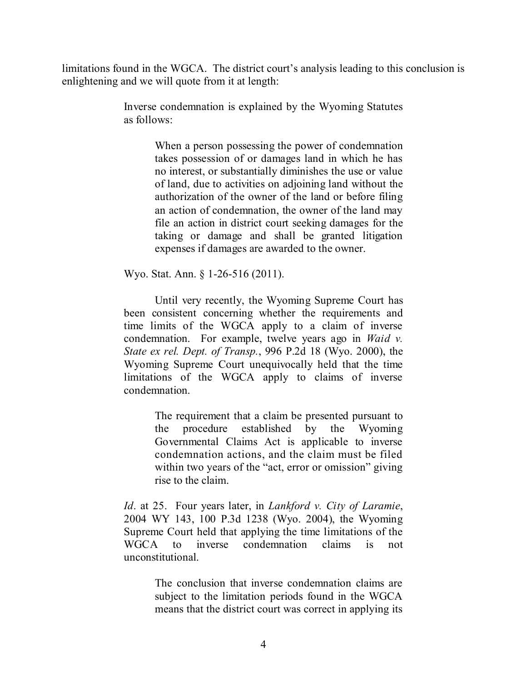limitations found in the WGCA. The district court's analysis leading to this conclusion is enlightening and we will quote from it at length:

> Inverse condemnation is explained by the Wyoming Statutes as follows:

> > When a person possessing the power of condemnation takes possession of or damages land in which he has no interest, or substantially diminishes the use or value of land, due to activities on adjoining land without the authorization of the owner of the land or before filing an action of condemnation, the owner of the land may file an action in district court seeking damages for the taking or damage and shall be granted litigation expenses if damages are awarded to the owner.

Wyo. Stat. Ann. § 1-26-516 (2011).

Until very recently, the Wyoming Supreme Court has been consistent concerning whether the requirements and time limits of the WGCA apply to a claim of inverse condemnation. For example, twelve years ago in *Waid v. State ex rel. Dept. of Transp.*, 996 P.2d 18 (Wyo. 2000), the Wyoming Supreme Court unequivocally held that the time limitations of the WGCA apply to claims of inverse condemnation.

> The requirement that a claim be presented pursuant to the procedure established by the Wyoming Governmental Claims Act is applicable to inverse condemnation actions, and the claim must be filed within two years of the "act, error or omission" giving rise to the claim.

*Id*. at 25. Four years later, in *Lankford v. City of Laramie*, 2004 WY 143, 100 P.3d 1238 (Wyo. 2004), the Wyoming Supreme Court held that applying the time limitations of the WGCA to inverse condemnation claims is not unconstitutional.

> The conclusion that inverse condemnation claims are subject to the limitation periods found in the WGCA means that the district court was correct in applying its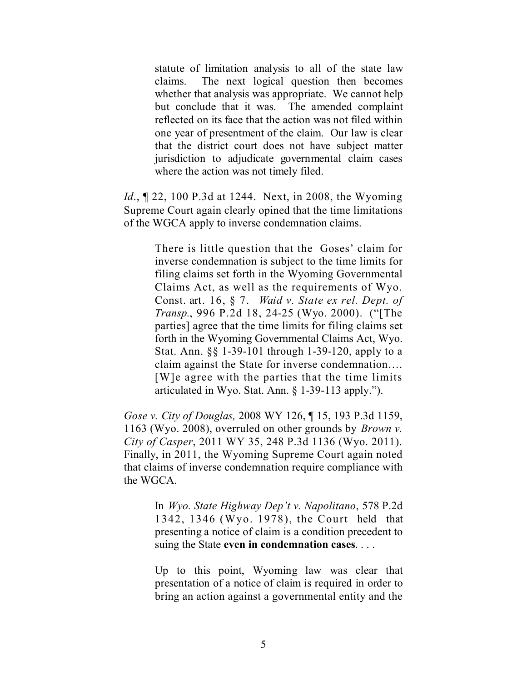statute of limitation analysis to all of the state law claims. The next logical question then becomes whether that analysis was appropriate. We cannot help but conclude that it was. The amended complaint reflected on its face that the action was not filed within one year of presentment of the claim. Our law is clear that the district court does not have subject matter jurisdiction to adjudicate governmental claim cases where the action was not timely filed.

*Id.*, **[22, 100 P.3d at 1244.** Next, in 2008, the Wyoming Supreme Court again clearly opined that the time limitations of the WGCA apply to inverse condemnation claims.

> There is little question that the Goses' claim for inverse condemnation is subject to the time limits for filing claims set forth in the Wyoming Governmental Claims Act, as well as the requirements of Wyo. Const. art. 16, § 7. *Waid v. State ex rel. Dept. of Transp.*, 996 P.2d 18, 24-25 (Wyo. 2000). ("[The parties] agree that the time limits for filing claims set forth in the Wyoming Governmental Claims Act, Wyo. Stat. Ann. §§ 1-39-101 through 1-39-120, apply to a claim against the State for inverse condemnation…. [W]e agree with the parties that the time limits articulated in Wyo. Stat. Ann. § 1-39-113 apply.").

*Gose v. City of Douglas,* 2008 WY 126, ¶ 15, 193 P.3d 1159, 1163 (Wyo. 2008), overruled on other grounds by *Brown v. City of Casper*, 2011 WY 35, 248 P.3d 1136 (Wyo. 2011). Finally, in 2011, the Wyoming Supreme Court again noted that claims of inverse condemnation require compliance with the WGCA.

> In *Wyo. State Highway Dep't v. Napolitano*, 578 P.2d 1342, 1346 (Wyo. 1978), the Court held that presenting a notice of claim is a condition precedent to suing the State **even in condemnation cases**. . . .

> Up to this point, Wyoming law was clear that presentation of a notice of claim is required in order to bring an action against a governmental entity and the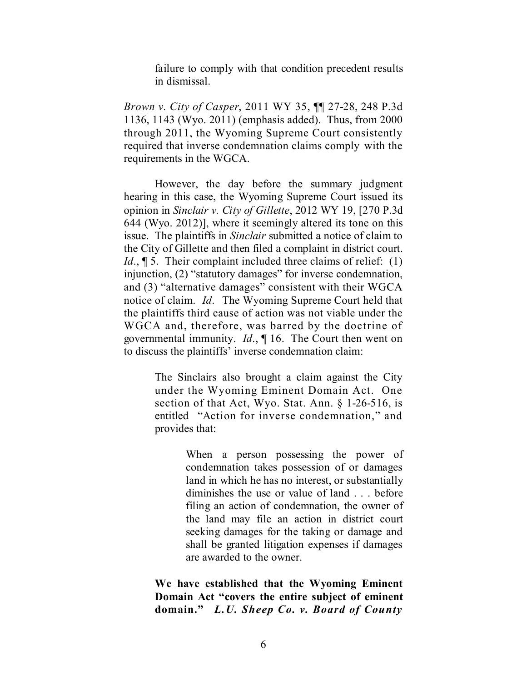failure to comply with that condition precedent results in dismissal.

*Brown v. City of Casper*, 2011 WY 35, ¶¶ 27-28, 248 P.3d 1136, 1143 (Wyo. 2011) (emphasis added). Thus, from 2000 through 2011, the Wyoming Supreme Court consistently required that inverse condemnation claims comply with the requirements in the WGCA.

However, the day before the summary judgment hearing in this case, the Wyoming Supreme Court issued its opinion in *Sinclair v. City of Gillette*, 2012 WY 19, [270 P.3d 644 (Wyo. 2012)], where it seemingly altered its tone on this issue. The plaintiffs in *Sinclair* submitted a notice of claim to the City of Gillette and then filed a complaint in district court. *Id.*, **[5.** Their complaint included three claims of relief: (1) injunction, (2) "statutory damages" for inverse condemnation, and (3) "alternative damages" consistent with their WGCA notice of claim. *Id*. The Wyoming Supreme Court held that the plaintiffs third cause of action was not viable under the WGCA and, therefore, was barred by the doctrine of governmental immunity. *Id*., ¶ 16. The Court then went on to discuss the plaintiffs' inverse condemnation claim:

> The Sinclairs also brought a claim against the City under the Wyoming Eminent Domain Act. One section of that Act, Wyo. Stat. Ann. § 1-26-516, is entitled "Action for inverse condemnation," and provides that:

> > When a person possessing the power of condemnation takes possession of or damages land in which he has no interest, or substantially diminishes the use or value of land . . . before filing an action of condemnation, the owner of the land may file an action in district court seeking damages for the taking or damage and shall be granted litigation expenses if damages are awarded to the owner.

**We have established that the Wyoming Eminent Domain Act "covers the entire subject of eminent domain."** *L.U. Sheep Co. v. Board of County*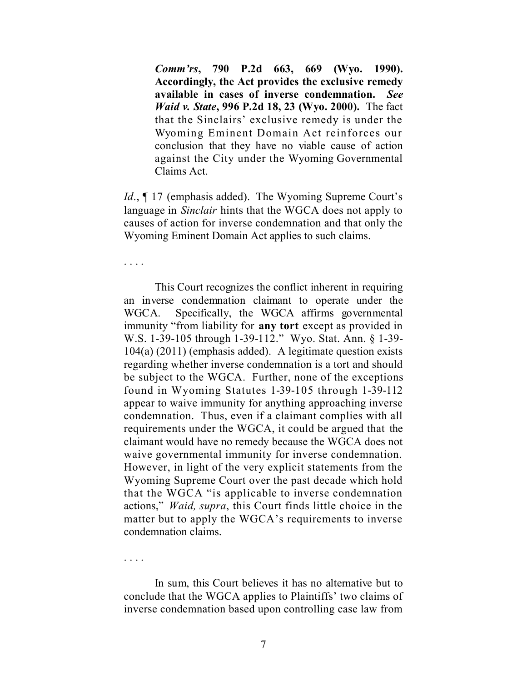*Comm'rs***, 790 P.2d 663, 669 (Wyo. 1990). Accordingly, the Act provides the exclusive remedy available in cases of inverse condemnation.** *See Waid v. State***, 996 P.2d 18, 23 (Wyo. 2000).** The fact that the Sinclairs' exclusive remedy is under the Wyoming Eminent Domain Act reinforces our conclusion that they have no viable cause of action against the City under the Wyoming Governmental Claims Act.

*Id.*,  $\P$  17 (emphasis added). The Wyoming Supreme Court's language in *Sinclair* hints that the WGCA does not apply to causes of action for inverse condemnation and that only the Wyoming Eminent Domain Act applies to such claims.

. . . .

This Court recognizes the conflict inherent in requiring an inverse condemnation claimant to operate under the WGCA. Specifically, the WGCA affirms governmental immunity "from liability for **any tort** except as provided in W.S. 1-39-105 through 1-39-112." Wyo. Stat. Ann. § 1-39- 104(a) (2011) (emphasis added). A legitimate question exists regarding whether inverse condemnation is a tort and should be subject to the WGCA. Further, none of the exceptions found in Wyoming Statutes 1-39-105 through 1-39-112 appear to waive immunity for anything approaching inverse condemnation. Thus, even if a claimant complies with all requirements under the WGCA, it could be argued that the claimant would have no remedy because the WGCA does not waive governmental immunity for inverse condemnation. However, in light of the very explicit statements from the Wyoming Supreme Court over the past decade which hold that the WGCA "is applicable to inverse condemnation actions," *Waid, supra*, this Court finds little choice in the matter but to apply the WGCA's requirements to inverse condemnation claims.

. . . .

In sum, this Court believes it has no alternative but to conclude that the WGCA applies to Plaintiffs' two claims of inverse condemnation based upon controlling case law from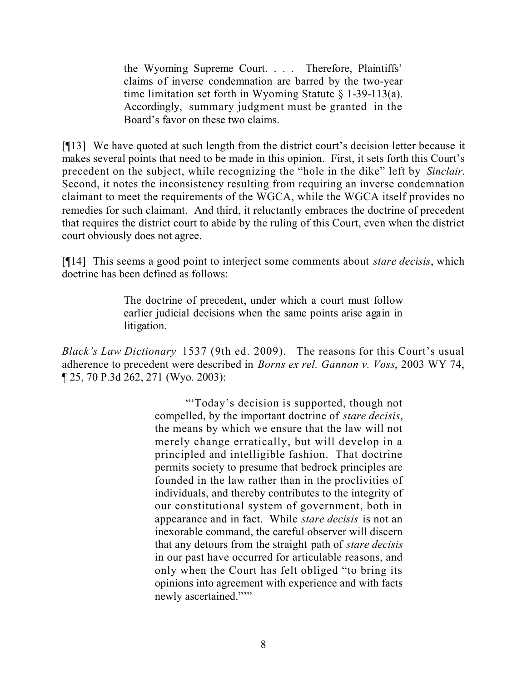the Wyoming Supreme Court. . . . Therefore, Plaintiffs' claims of inverse condemnation are barred by the two-year time limitation set forth in Wyoming Statute § 1-39-113(a). Accordingly, summary judgment must be granted in the Board's favor on these two claims.

[¶13] We have quoted at such length from the district court's decision letter because it makes several points that need to be made in this opinion. First, it sets forth this Court's precedent on the subject, while recognizing the "hole in the dike" left by *Sinclair*. Second, it notes the inconsistency resulting from requiring an inverse condemnation claimant to meet the requirements of the WGCA, while the WGCA itself provides no remedies for such claimant. And third, it reluctantly embraces the doctrine of precedent that requires the district court to abide by the ruling of this Court, even when the district court obviously does not agree.

[¶14] This seems a good point to interject some comments about *stare decisis*, which doctrine has been defined as follows:

> The doctrine of precedent, under which a court must follow earlier judicial decisions when the same points arise again in litigation.

*Black's Law Dictionary* 1537 (9th ed. 2009). The reasons for this Court's usual adherence to precedent were described in *Borns ex rel. Gannon v. Voss*, 2003 WY 74, ¶ 25, 70 P.3d 262, 271 (Wyo. 2003):

> "'Today's decision is supported, though not compelled, by the important doctrine of *stare decisis*, the means by which we ensure that the law will not merely change erratically, but will develop in a principled and intelligible fashion. That doctrine permits society to presume that bedrock principles are founded in the law rather than in the proclivities of individuals, and thereby contributes to the integrity of our constitutional system of government, both in appearance and in fact. While *stare decisis* is not an inexorable command, the careful observer will discern that any detours from the straight path of *stare decisis* in our past have occurred for articulable reasons, and only when the Court has felt obliged "to bring its opinions into agreement with experience and with facts newly ascertained."""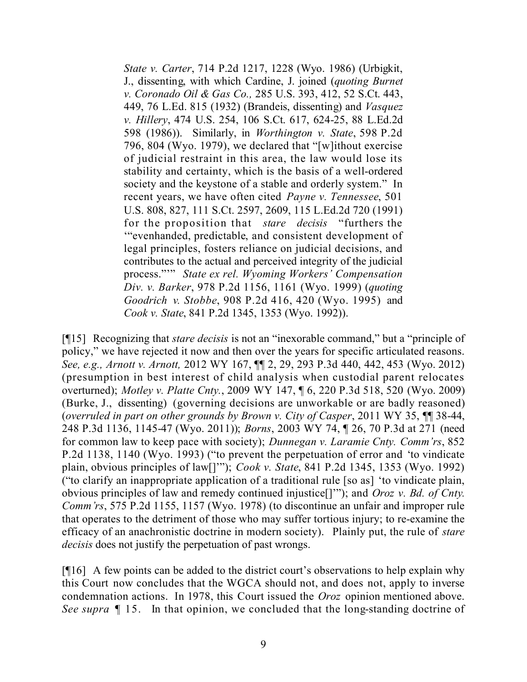*State v. Carter*, 714 P.2d 1217, 1228 (Wyo. 1986) (Urbigkit, J., dissenting, with which Cardine, J. joined (*quoting Burnet v. Coronado Oil & Gas Co.,* 285 U.S. 393, 412, 52 S.Ct. 443, 449, 76 L.Ed. 815 (1932) (Brandeis, dissenting) and *Vasquez v. Hillery*, 474 U.S. 254, 106 S.Ct. 617, 624-25, 88 L.Ed.2d 598 (1986)). Similarly, in *Worthington v. State*, 598 P.2d 796, 804 (Wyo. 1979), we declared that "[w]ithout exercise of judicial restraint in this area, the law would lose its stability and certainty, which is the basis of a well-ordered society and the keystone of a stable and orderly system." In recent years, we have often cited *Payne v. Tennessee*, 501 U.S. 808, 827, 111 S.Ct. 2597, 2609, 115 L.Ed.2d 720 (1991) for the proposition that *stare decisis* "furthers the '"evenhanded, predictable, and consistent development of legal principles, fosters reliance on judicial decisions, and contributes to the actual and perceived integrity of the judicial process."'" *State ex rel. Wyoming Workers' Compensation Div. v. Barker*, 978 P.2d 1156, 1161 (Wyo. 1999) (*quoting Goodrich v. Stobbe*, 908 P.2d 416, 420 (Wyo. 1995) and *Cook v. State*, 841 P.2d 1345, 1353 (Wyo. 1992)).

[¶15] Recognizing that *stare decisis* is not an "inexorable command," but a "principle of policy," we have rejected it now and then over the years for specific articulated reasons. *See, e.g., Arnott v. Arnott,* 2012 WY 167, ¶¶ 2, 29, 293 P.3d 440, 442, 453 (Wyo. 2012) (presumption in best interest of child analysis when custodial parent relocates overturned); *Motley v. Platte Cnty.*, 2009 WY 147, ¶ 6, 220 P.3d 518, 520 (Wyo. 2009) (Burke, J., dissenting) (governing decisions are unworkable or are badly reasoned) (*overruled in part on other grounds by Brown v. City of Casper*, 2011 WY 35, ¶¶ 38-44, 248 P.3d 1136, 1145-47 (Wyo. 2011)); *Borns*, 2003 WY 74, ¶ 26, 70 P.3d at 271 (need for common law to keep pace with society); *Dunnegan v. Laramie Cnty. Comm'rs*, 852 P.2d 1138, 1140 (Wyo. 1993) ("to prevent the perpetuation of error and 'to vindicate plain, obvious principles of law[]'"); *Cook v. State*, 841 P.2d 1345, 1353 (Wyo. 1992) ("to clarify an inappropriate application of a traditional rule [so as] 'to vindicate plain, obvious principles of law and remedy continued injustice[]'"); and *Oroz v. Bd. of Cnty. Comm'rs*, 575 P.2d 1155, 1157 (Wyo. 1978) (to discontinue an unfair and improper rule that operates to the detriment of those who may suffer tortious injury; to re-examine the efficacy of an anachronistic doctrine in modern society). Plainly put, the rule of *stare decisis* does not justify the perpetuation of past wrongs.

[¶16] A few points can be added to the district court's observations to help explain why this Court now concludes that the WGCA should not, and does not, apply to inverse condemnation actions. In 1978, this Court issued the *Oroz* opinion mentioned above. *See supra* ¶ 15. In that opinion, we concluded that the long-standing doctrine of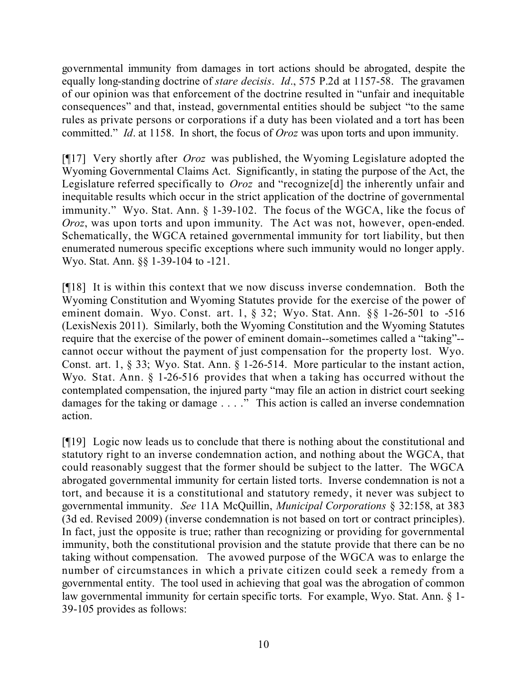governmental immunity from damages in tort actions should be abrogated, despite the equally long-standing doctrine of *stare decisis*. *Id*., 575 P.2d at 1157-58. The gravamen of our opinion was that enforcement of the doctrine resulted in "unfair and inequitable consequences" and that, instead, governmental entities should be subject "to the same rules as private persons or corporations if a duty has been violated and a tort has been committed." *Id*. at 1158. In short, the focus of *Oroz* was upon torts and upon immunity.

[¶17] Very shortly after *Oroz* was published, the Wyoming Legislature adopted the Wyoming Governmental Claims Act. Significantly, in stating the purpose of the Act, the Legislature referred specifically to *Oroz* and "recognize[d] the inherently unfair and inequitable results which occur in the strict application of the doctrine of governmental immunity." Wyo. Stat. Ann. § 1-39-102. The focus of the WGCA, like the focus of *Oroz*, was upon torts and upon immunity. The Act was not, however, open-ended. Schematically, the WGCA retained governmental immunity for tort liability, but then enumerated numerous specific exceptions where such immunity would no longer apply. Wyo. Stat. Ann. §§ 1-39-104 to -121.

[¶18] It is within this context that we now discuss inverse condemnation. Both the Wyoming Constitution and Wyoming Statutes provide for the exercise of the power of eminent domain. Wyo. Const. art. 1, § 32; Wyo. Stat. Ann. §§ 1-26-501 to -516 (LexisNexis 2011). Similarly, both the Wyoming Constitution and the Wyoming Statutes require that the exercise of the power of eminent domain--sometimes called a "taking"- cannot occur without the payment of just compensation for the property lost. Wyo. Const. art. 1, § 33; Wyo. Stat. Ann. § 1-26-514. More particular to the instant action, Wyo. Stat. Ann. § 1-26-516 provides that when a taking has occurred without the contemplated compensation, the injured party "may file an action in district court seeking damages for the taking or damage . . . ." This action is called an inverse condemnation action.

[¶19] Logic now leads us to conclude that there is nothing about the constitutional and statutory right to an inverse condemnation action, and nothing about the WGCA, that could reasonably suggest that the former should be subject to the latter. The WGCA abrogated governmental immunity for certain listed torts. Inverse condemnation is not a tort, and because it is a constitutional and statutory remedy, it never was subject to governmental immunity. *See* 11A McQuillin, *Municipal Corporations* § 32:158, at 383 (3d ed. Revised 2009) (inverse condemnation is not based on tort or contract principles). In fact, just the opposite is true; rather than recognizing or providing for governmental immunity, both the constitutional provision and the statute provide that there can be no taking without compensation. The avowed purpose of the WGCA was to enlarge the number of circumstances in which a private citizen could seek a remedy from a governmental entity. The tool used in achieving that goal was the abrogation of common law governmental immunity for certain specific torts. For example, Wyo. Stat. Ann. § 1- 39-105 provides as follows: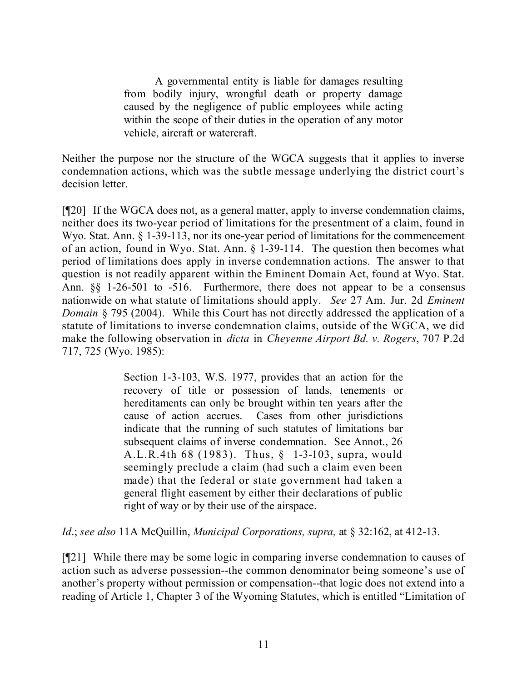A governmental entity is liable for damages resulting from bodily injury, wrongful death or property damage caused by the negligence of public employees while acting within the scope of their duties in the operation of any motor vehicle, aircraft or watercraft.

Neither the purpose nor the structure of the WGCA suggests that it applies to inverse condemnation actions, which was the subtle message underlying the district court's decision letter.

[¶20] If the WGCA does not, as a general matter, apply to inverse condemnation claims, neither does its two-year period of limitations for the presentment of a claim, found in Wyo. Stat. Ann. § 1-39-113, nor its one-year period of limitations for the commencement of an action, found in Wyo. Stat. Ann. § 1-39-114. The question then becomes what period of limitations does apply in inverse condemnation actions. The answer to that question is not readily apparent within the Eminent Domain Act, found at Wyo. Stat. Ann. §§ 1-26-501 to -516. Furthermore, there does not appear to be a consensus nationwide on what statute of limitations should apply. *See* 27 Am. Jur. 2d *Eminent Domain* § 795 (2004). While this Court has not directly addressed the application of a statute of limitations to inverse condemnation claims, outside of the WGCA, we did make the following observation in *dicta* in *Cheyenne Airport Bd. v. Rogers*, 707 P.2d 717, 725 (Wyo. 1985):

> Section 1-3-103, W.S. 1977, provides that an action for the recovery of title or possession of lands, tenements or hereditaments can only be brought within ten years after the cause of action accrues. Cases from other jurisdictions indicate that the running of such statutes of limitations bar subsequent claims of inverse condemnation. See Annot., 26 A.L.R.4th 68 (1983). Thus, § 1-3-103, supra, would seemingly preclude a claim (had such a claim even been made) that the federal or state government had taken a general flight easement by either their declarations of public right of way or by their use of the airspace.

*Id*.; *see also* 11A McQuillin, *Municipal Corporations, supra,* at § 32:162, at 412-13.

[¶21] While there may be some logic in comparing inverse condemnation to causes of action such as adverse possession--the common denominator being someone's use of another's property without permission or compensation--that logic does not extend into a reading of Article 1, Chapter 3 of the Wyoming Statutes, which is entitled "Limitation of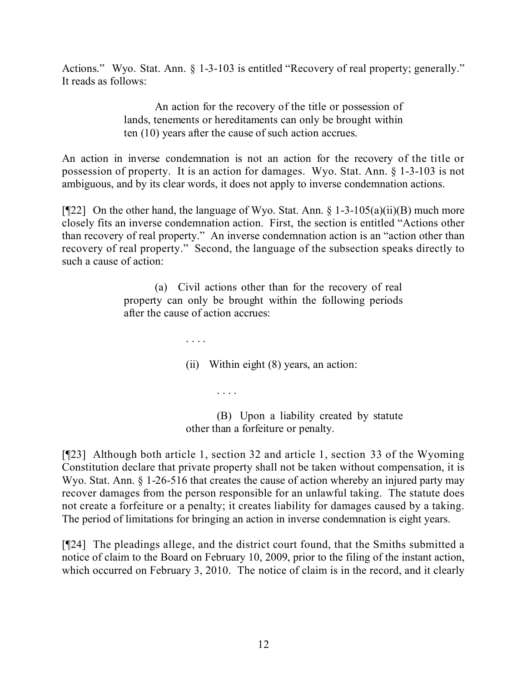Actions." Wyo. Stat. Ann. § 1-3-103 is entitled "Recovery of real property; generally." It reads as follows:

> An action for the recovery of the title or possession of lands, tenements or hereditaments can only be brought within ten (10) years after the cause of such action accrues.

An action in inverse condemnation is not an action for the recovery of the title or possession of property. It is an action for damages. Wyo. Stat. Ann. § 1-3-103 is not ambiguous, and by its clear words, it does not apply to inverse condemnation actions.

[ $[$ [22] On the other hand, the language of Wyo. Stat. Ann.  $\frac{1}{2}$  1-3-105(a)(ii)(B) much more closely fits an inverse condemnation action. First, the section is entitled "Actions other than recovery of real property." An inverse condemnation action is an "action other than recovery of real property." Second, the language of the subsection speaks directly to such a cause of action:

> (a) Civil actions other than for the recovery of real property can only be brought within the following periods after the cause of action accrues:

> > . . . .

. . . .

(ii) Within eight (8) years, an action:

(B) Upon a liability created by statute other than a forfeiture or penalty.

[¶23] Although both article 1, section 32 and article 1, section 33 of the Wyoming Constitution declare that private property shall not be taken without compensation, it is Wyo. Stat. Ann. § 1-26-516 that creates the cause of action whereby an injured party may recover damages from the person responsible for an unlawful taking. The statute does not create a forfeiture or a penalty; it creates liability for damages caused by a taking. The period of limitations for bringing an action in inverse condemnation is eight years.

[¶24] The pleadings allege, and the district court found, that the Smiths submitted a notice of claim to the Board on February 10, 2009, prior to the filing of the instant action, which occurred on February 3, 2010. The notice of claim is in the record, and it clearly